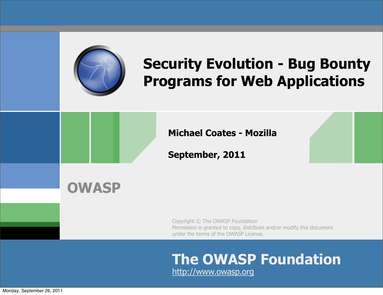

## **[Security Evolution - Bug Bounty](http://www.appsecusa.org/talks.html#bounty)  [Programs for Web Applications](http://www.appsecusa.org/talks.html#bounty)**

**Michael Coates - Mozilla**

**September, 2011**

#### **OWASP**

Copyright © The OWASP Foundation Permission is granted to copy, distribute and/or modify this document under the terms of the OWASP License.

#### **The OWASP Foundation** http://www.owasp.org

Monday, September 26, 2011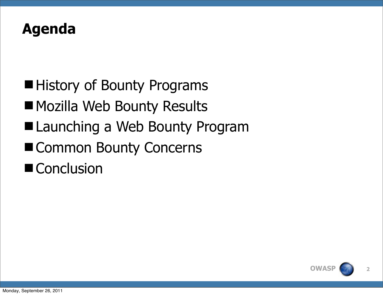

■ History of Bounty Programs **Mozilla Web Bounty Results** ■ Launching a Web Bounty Program ■ Common Bounty Concerns ■ Conclusion

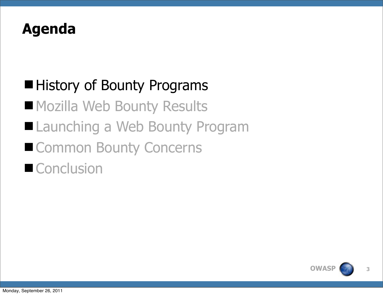#### **Agenda**

# ■ History of Bounty Programs

**Mozilla Web Bounty Results** 

- Launching a Web Bounty Program
- Common Bounty Concerns

## ■ Conclusion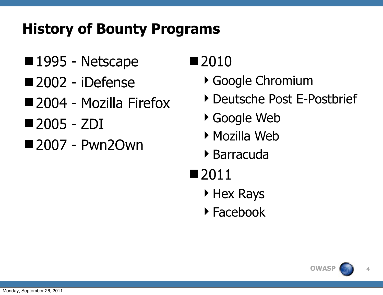## **History of Bounty Programs**

- 1995 Netscape
- ■2002 iDefense
- 2004 Mozilla Firefox
- 2005 ZDI
- ■2007 Pwn2Own

## ■2010

- Google Chromium
- ▶ Deutsche Post E-Postbrief
- ▶ Google Web
- Mozilla Web
- Barracuda
- ■2011
	- **Hex Rays**
	- Facebook

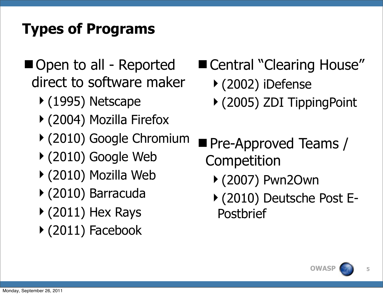## **Types of Programs**

- Open to all Reported direct to software maker
	- (1995) Netscape
	- (2004) Mozilla Firefox
	- (2010) Google Chromium
	- (2010) Google Web
	- (2010) Mozilla Web
	- (2010) Barracuda
	- $\triangleright$  (2011) Hex Rays
	- (2011) Facebook
- Central "Clearing House"
	- (2002) iDefense
	- (2005) ZDI TippingPoint
- **Pre-Approved Teams /** Competition
	- (2007) Pwn2Own
	- (2010) Deutsche Post E-Postbrief

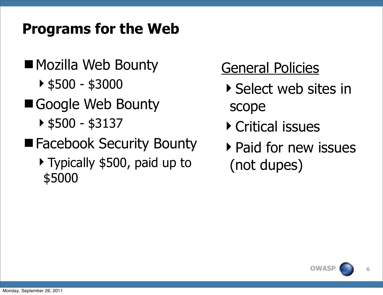#### **Programs for the Web**

- Mozilla Web Bounty
	- \$500 \$3000
- Google Web Bounty
	- $\triangleright$  \$500 \$3137
- **E** Facebook Security Bounty
	- Typically \$500, paid up to \$5000

## General Policies

- Select web sites in scope
- Critical issues
- ▶ Paid for new issues (not dupes)

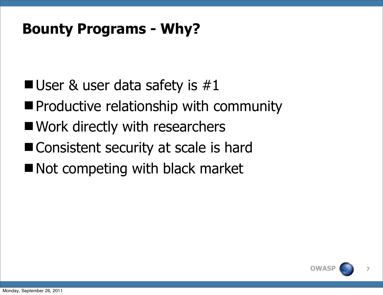#### **Bounty Programs - Why?**

- **User & user data safety is**  $\#1$
- **Productive relationship with community**
- **Nork directly with researchers**
- Consistent security at scale is hard
- Not competing with black market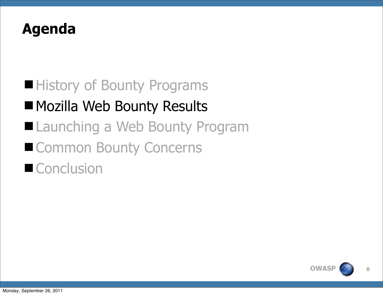#### **Agenda**

# ■ History of Bounty Programs **Mozilla Web Bounty Results**

- Launching a Web Bounty Program
- Common Bounty Concerns

# ■ Conclusion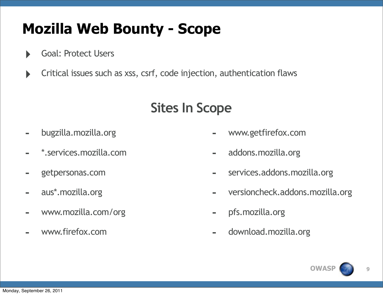## **Mozilla Web Bounty - Scope**

- ‣ Goal: Protect Users
- ‣ Critical issues such as xss, csrf, code injection, authentication flaws

#### **Sites In Scope**

- bugzilla.mozilla.org
- \*.services.mozilla.com
- getpersonas.com
- aus\*.mozilla.org
- [www.mozilla.com/org](http://www.mozilla.com/org)
- [www.firefox.com](http://www.firefox.com)
- [www.getfirefox.com](http://www.getfirefox.com)
- addons.mozilla.org
- services.addons.mozilla.org
- versioncheck.addons.mozilla.org
- pfs.mozilla.org
- download.mozilla.org

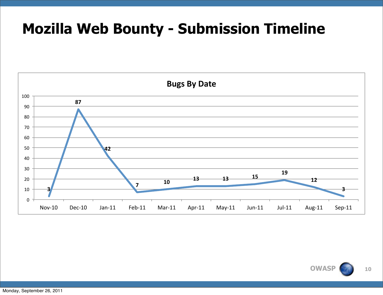#### **Mozilla Web Bounty - Submission Timeline**



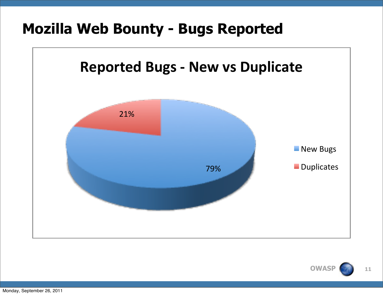#### **Mozilla Web Bounty - Bugs Reported**



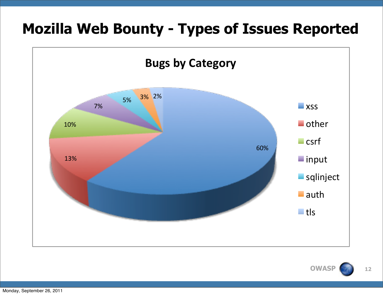#### **Mozilla Web Bounty - Types of Issues Reported**



**OWASI**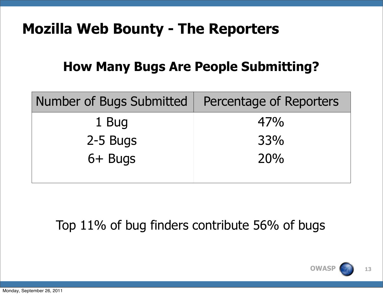#### **Mozilla Web Bounty - The Reporters**

#### **How Many Bugs Are People Submitting?**

| Number of Bugs Submitted | Percentage of Reporters |
|--------------------------|-------------------------|
| 1 Bug                    | 47%                     |
| 2-5 Bugs                 | 33%                     |
| 6+ Bugs                  | 20%                     |
|                          |                         |

Top 11% of bug finders contribute 56% of bugs

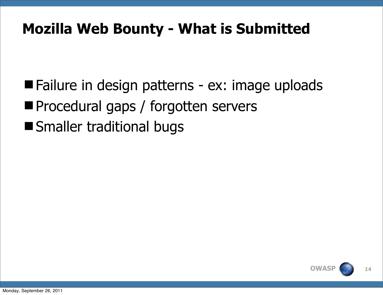## **Mozilla Web Bounty - What is Submitted**

■ Failure in design patterns - ex: image uploads **Procedural gaps / forgotten servers Smaller traditional bugs** 

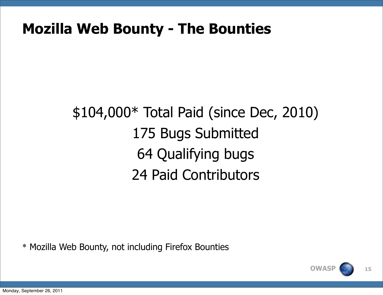#### **Mozilla Web Bounty - The Bounties**

# \$104,000\* Total Paid (since Dec, 2010) 175 Bugs Submitted 64 Qualifying bugs 24 Paid Contributors

\* Mozilla Web Bounty, not including Firefox Bounties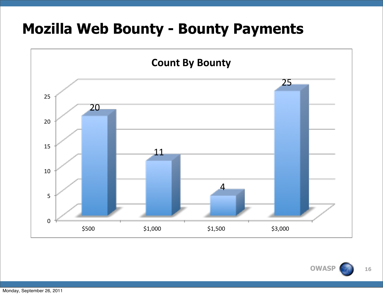#### **Mozilla Web Bounty - Bounty Payments**

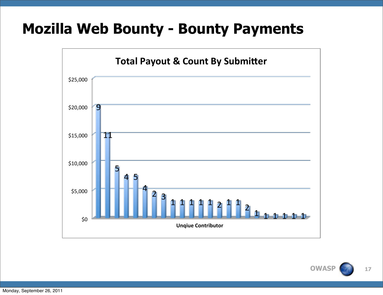#### **Mozilla Web Bounty - Bounty Payments**



**OWASF** 17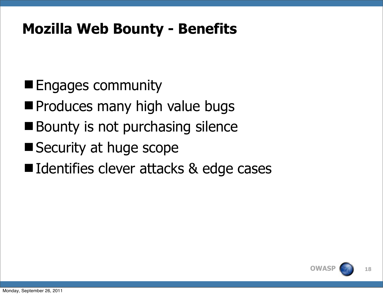#### **Mozilla Web Bounty - Benefits**

- **Engages community**
- **Produces many high value bugs**
- Bounty is not purchasing silence
- Security at huge scope
- Identifies clever attacks & edge cases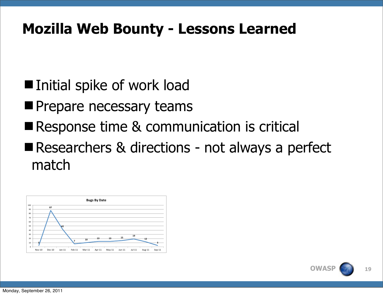#### **Mozilla Web Bounty - Lessons Learned**

- Initial spike of work load
- **Prepare necessary teams**
- Response time & communication is critical
- Researchers & directions not always a perfect match



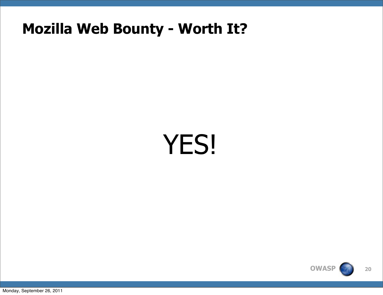#### **Mozilla Web Bounty - Worth It?**

# YES!



Monday, September 26, 2011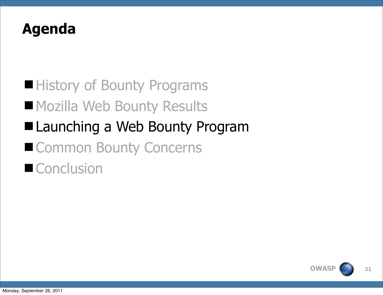#### **Agenda**

# ■ History of Bounty Programs **Mozilla Web Bounty Results** ■ Launching a Web Bounty Program ■ Common Bounty Concerns ■ Conclusion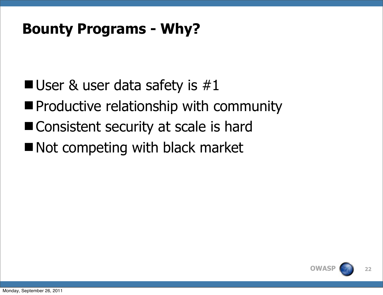#### **Bounty Programs - Why?**

- **User & user data safety is**  $\#1$
- **Productive relationship with community**
- Consistent security at scale is hard
- Not competing with black market

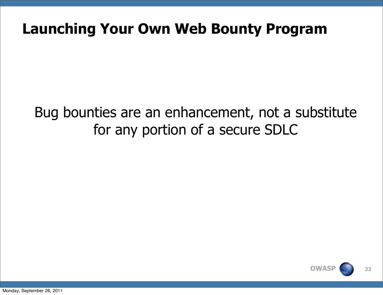#### **Launching Your Own Web Bounty Program**

#### Bug bounties are an enhancement, not a substitute for any portion of a secure SDLC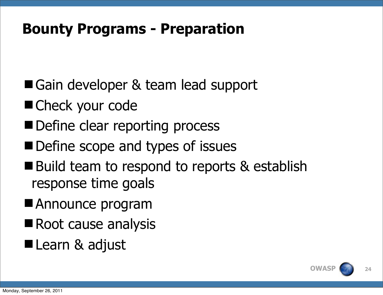#### **Bounty Programs - Preparation**

- Gain developer & team lead support
- Check your code
- Define clear reporting process
- Define scope and types of issues
- Build team to respond to reports & establish response time goals
- Announce program
- Root cause analysis
- Learn & adjust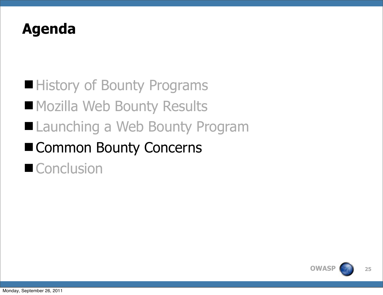#### **Agenda**

# ■ History of Bounty Programs **Mozilla Web Bounty Results** ■ Launching a Web Bounty Program ■ Common Bounty Concerns ■ Conclusion

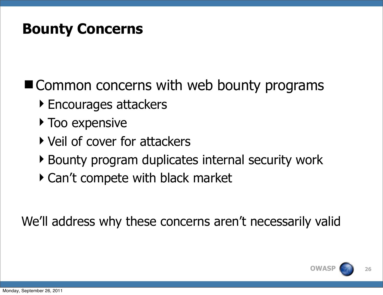#### **Bounty Concerns**

■ Common concerns with web bounty programs

- ▶ Encourages attackers
- **Too expensive**
- ▶ Veil of cover for attackers
- ▶ Bounty program duplicates internal security work
- Can't compete with black market

We'll address why these concerns aren't necessarily valid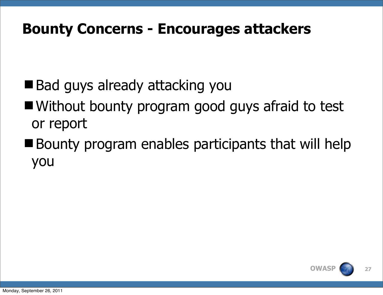#### **Bounty Concerns - Encourages attackers**

- Bad guys already attacking you
- Without bounty program good guys afraid to test or report
- Bounty program enables participants that will help you

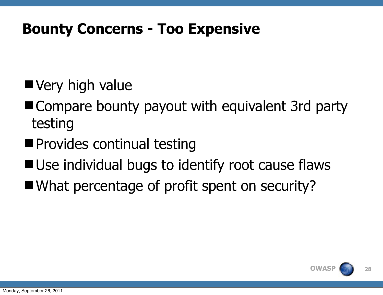#### **Bounty Concerns - Too Expensive**

- Very high value
- Compare bounty payout with equivalent 3rd party testing
- **Provides continual testing**
- Use individual bugs to identify root cause flaws
- What percentage of profit spent on security?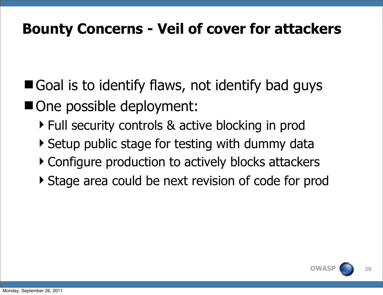#### **Bounty Concerns - Veil of cover for attackers**

- Goal is to identify flaws, not identify bad guys ■ One possible deployment:
	- ▶ Full security controls & active blocking in prod
	- ▶ Setup public stage for testing with dummy data
	- ▶ Configure production to actively blocks attackers
	- Stage area could be next revision of code for prod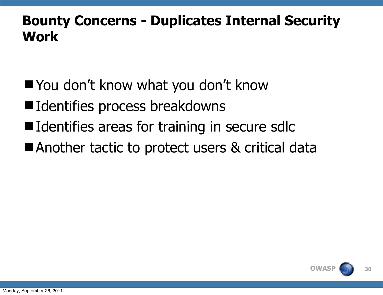#### **Bounty Concerns - Duplicates Internal Security Work**

- You don't know what you don't know
- Identifies process breakdowns
- Identifies areas for training in secure sdlc
- Another tactic to protect users & critical data

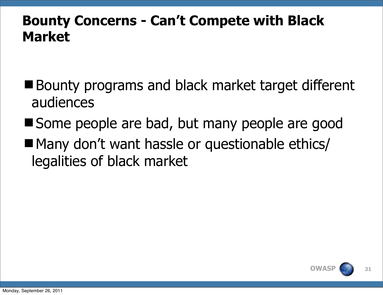#### **Bounty Concerns - Can't Compete with Black Market**

- Bounty programs and black market target different audiences
- Some people are bad, but many people are good
- Many don't want hassle or questionable ethics/ legalities of black market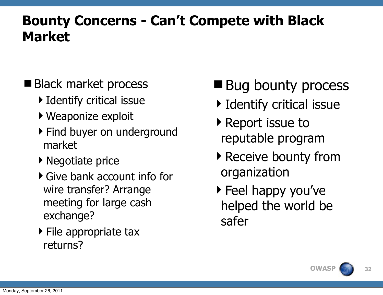#### **Bounty Concerns - Can't Compete with Black Market**

#### ■ Black market process

- **Identify critical issue**
- Weaponize exploit
- ▶ Find buyer on underground market
- ▶ Negotiate price
- Give bank account info for wire transfer? Arrange meeting for large cash exchange?
- $\triangleright$  File appropriate tax returns?

# **Bug bounty process**

- **Identify critical issue**
- ▶ Report issue to reputable program
- ▶ Receive bounty from organization
- ▶ Feel happy you've helped the world be safer

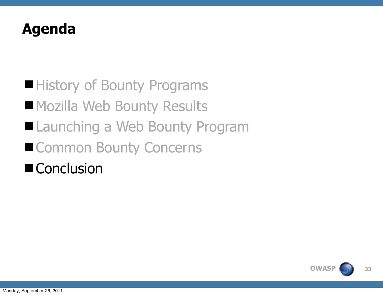#### **Agenda**

# ■ History of Bounty Programs **Mozilla Web Bounty Results** ■ Launching a Web Bounty Program ■ Common Bounty Concerns ■ Conclusion

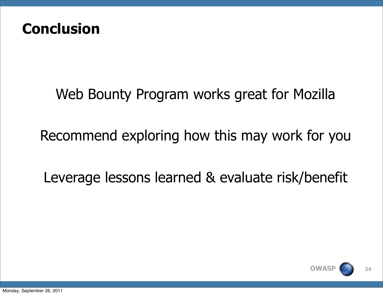

#### Web Bounty Program works great for Mozilla

Recommend exploring how this may work for you

Leverage lessons learned & evaluate risk/benefit